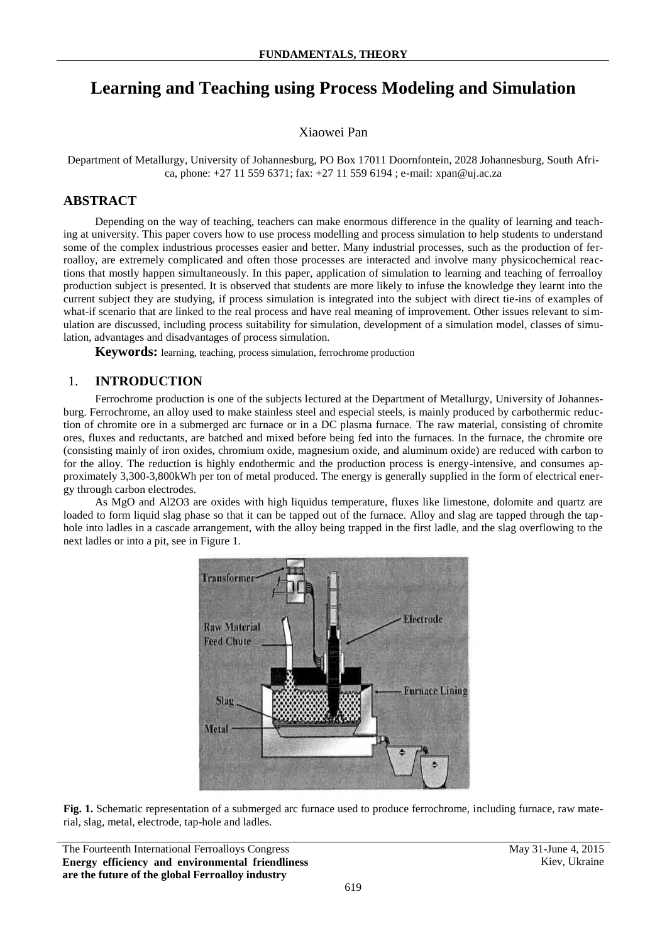# **Learning and Teaching using Process Modeling and Simulation**

### Xiaowei Pan

Department of Metallurgy, University of Johannesburg, PO Box 17011 Doornfontein, 2028 Johannesburg, South Africa, phone: +27 11 559 6371; fax: +27 11 559 6194 ; e-mail: xpan@uj.ac.za

### **ABSTRACT**

Depending on the way of teaching, teachers can make enormous difference in the quality of learning and teaching at university. This paper covers how to use process modelling and process simulation to help students to understand some of the complex industrious processes easier and better. Many industrial processes, such as the production of ferroalloy, are extremely complicated and often those processes are interacted and involve many physicochemical reactions that mostly happen simultaneously. In this paper, application of simulation to learning and teaching of ferroalloy production subject is presented. It is observed that students are more likely to infuse the knowledge they learnt into the current subject they are studying, if process simulation is integrated into the subject with direct tie-ins of examples of what-if scenario that are linked to the real process and have real meaning of improvement. Other issues relevant to simulation are discussed, including process suitability for simulation, development of a simulation model, classes of simulation, advantages and disadvantages of process simulation.

**Keywords:** learning, teaching, process simulation, ferrochrome production

### 1. **INTRODUCTION**

Ferrochrome production is one of the subjects lectured at the Department of Metallurgy, University of Johannesburg. Ferrochrome, an alloy used to make stainless steel and especial steels, is mainly produced by carbothermic reduction of chromite ore in a submerged arc furnace or in a DC plasma furnace. The raw material, consisting of chromite ores, fluxes and reductants, are batched and mixed before being fed into the furnaces. In the furnace, the chromite ore (consisting mainly of iron oxides, chromium oxide, magnesium oxide, and aluminum oxide) are reduced with carbon to for the alloy. The reduction is highly endothermic and the production process is energy-intensive, and consumes approximately 3,300-3,800kWh per ton of metal produced. The energy is generally supplied in the form of electrical energy through carbon electrodes.

As MgO and Al2O3 are oxides with high liquidus temperature, fluxes like limestone, dolomite and quartz are loaded to form liquid slag phase so that it can be tapped out of the furnace. Alloy and slag are tapped through the taphole into ladles in a cascade arrangement, with the alloy being trapped in the first ladle, and the slag overflowing to the next ladles or into a pit, see in Figure 1.



**Fig. 1.** Schematic representation of a submerged arc furnace used to produce ferrochrome, including furnace, raw material, slag, metal, electrode, tap-hole and ladles.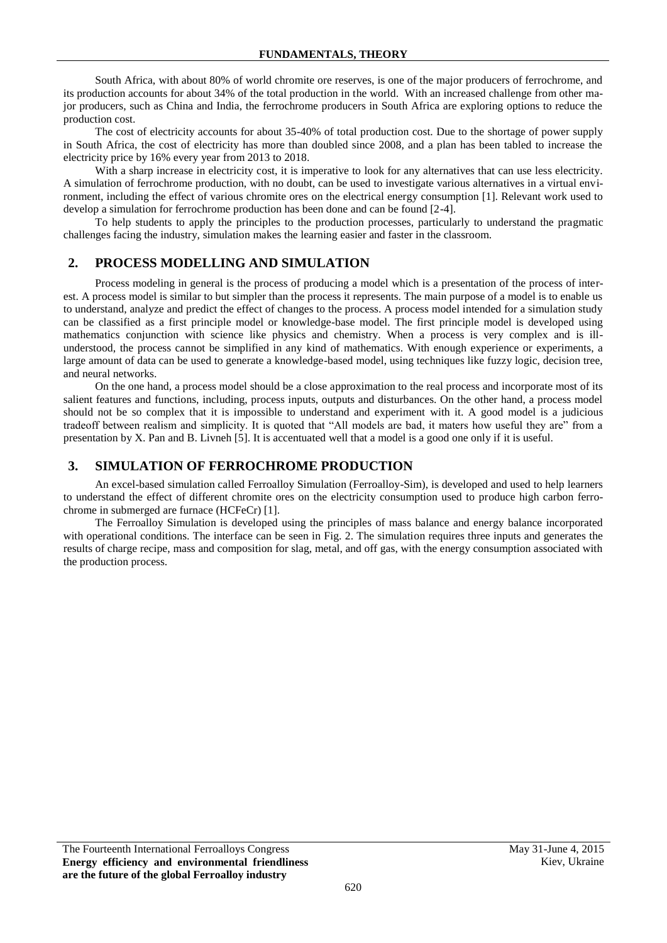South Africa, with about 80% of world chromite ore reserves, is one of the major producers of ferrochrome, and its production accounts for about 34% of the total production in the world. With an increased challenge from other major producers, such as China and India, the ferrochrome producers in South Africa are exploring options to reduce the production cost.

The cost of electricity accounts for about 35-40% of total production cost. Due to the shortage of power supply in South Africa, the cost of electricity has more than doubled since 2008, and a plan has been tabled to increase the electricity price by 16% every year from 2013 to 2018.

With a sharp increase in electricity cost, it is imperative to look for any alternatives that can use less electricity. A simulation of ferrochrome production, with no doubt, can be used to investigate various alternatives in a virtual environment, including the effect of various chromite ores on the electrical energy consumption [1]. Relevant work used to develop a simulation for ferrochrome production has been done and can be found [2-4].

To help students to apply the principles to the production processes, particularly to understand the pragmatic challenges facing the industry, simulation makes the learning easier and faster in the classroom.

# **2. PROCESS MODELLING AND SIMULATION**

Process modeling in general is the process of producing a model which is a presentation of the process of interest. A process model is similar to but simpler than the process it represents. The main purpose of a model is to enable us to understand, analyze and predict the effect of changes to the process. A process model intended for a simulation study can be classified as a first principle model or knowledge-base model. The first principle model is developed using mathematics conjunction with science like physics and chemistry. When a process is very complex and is illunderstood, the process cannot be simplified in any kind of mathematics. With enough experience or experiments, a large amount of data can be used to generate a knowledge-based model, using techniques like fuzzy logic, decision tree, and neural networks.

On the one hand, a process model should be a close approximation to the real process and incorporate most of its salient features and functions, including, process inputs, outputs and disturbances. On the other hand, a process model should not be so complex that it is impossible to understand and experiment with it. A good model is a judicious tradeoff between realism and simplicity. It is quoted that "All models are bad, it maters how useful they are" from a presentation by X. Pan and B. Livneh [5]. It is accentuated well that a model is a good one only if it is useful.

# **3. SIMULATION OF FERROCHROME PRODUCTION**

An excel-based simulation called Ferroalloy Simulation (Ferroalloy-Sim), is developed and used to help learners to understand the effect of different chromite ores on the electricity consumption used to produce high carbon ferrochrome in submerged are furnace (HCFeCr) [1].

The Ferroalloy Simulation is developed using the principles of mass balance and energy balance incorporated with operational conditions. The interface can be seen in Fig. 2. The simulation requires three inputs and generates the results of charge recipe, mass and composition for slag, metal, and off gas, with the energy consumption associated with the production process.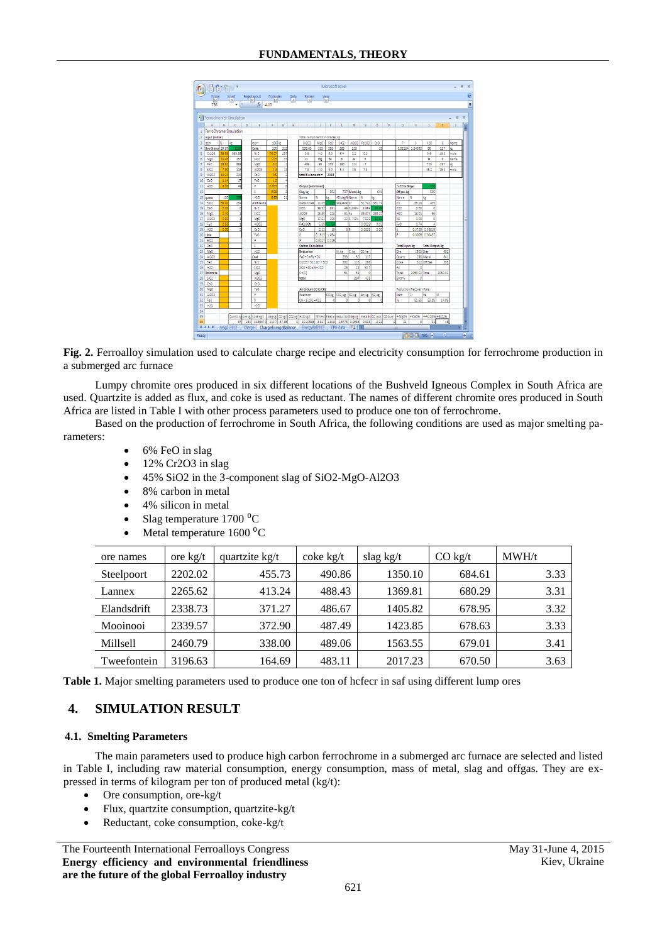

**Fig. 2.** Ferroalloy simulation used to calculate charge recipe and electricity consumption for ferrochrome production in a submerged arc furnace

Lumpy chromite ores produced in six different locations of the Bushveld Igneous Complex in South Africa are used. Quartzite is added as flux, and coke is used as reductant. The names of different chromite ores produced in South Africa are listed in Table I with other process parameters used to produce one ton of ferrochrome.

Based on the production of ferrochrome in South Africa, the following conditions are used as major smelting pa-

- rameters:
- 6% FeO in slag
- 12% Cr2O3 in slag
- 45% SiO2 in the 3-component slag of SiO2-MgO-Al2O3
- 8% carbon in metal
- 4% silicon in metal
- Slag temperature  $1700 \degree C$
- Metal temperature 1600 <sup>o</sup>C

| ore names   | ore $\frac{kg}{t}$ | quartzite kg/t | $\csc kg/t$ | slag $\text{kg}/\text{t}$ | $CO$ kg/t | MWH/t |
|-------------|--------------------|----------------|-------------|---------------------------|-----------|-------|
| Steelpoort  | 2202.02            | 455.73         | 490.86      | 1350.10                   | 684.61    | 3.33  |
| Lannex      | 2265.62            | 413.24         | 488.43      | 1369.81                   | 680.29    | 3.31  |
| Elandsdrift | 2338.73            | 371.27         | 486.67      | 1405.82                   | 678.95    | 3.32  |
| Mooinooi    | 2339.57            | 372.90         | 487.49      | 1423.85                   | 678.63    | 3.33  |
| Millsell    | 2460.79            | 338.00         | 489.06      | 1563.55                   | 679.01    | 3.41  |
| Tweefontein | 3196.63            | 164.69         | 483.11      | 2017.23                   | 670.50    | 3.63  |

**Table 1.** Major smelting parameters used to produce one ton of hcfecr in saf using different lump ores

# **4. SIMULATION RESULT**

#### **4.1. Smelting Parameters**

The main parameters used to produce high carbon ferrochrome in a submerged arc furnace are selected and listed in Table I, including raw material consumption, energy consumption, mass of metal, slag and offgas. They are expressed in terms of kilogram per ton of produced metal (kg/t):

- $\bullet$  Ore consumption, ore-kg/t
- Flux, quartzite consumption, quartzite-kg/t
- Reductant, coke consumption, coke-kg/t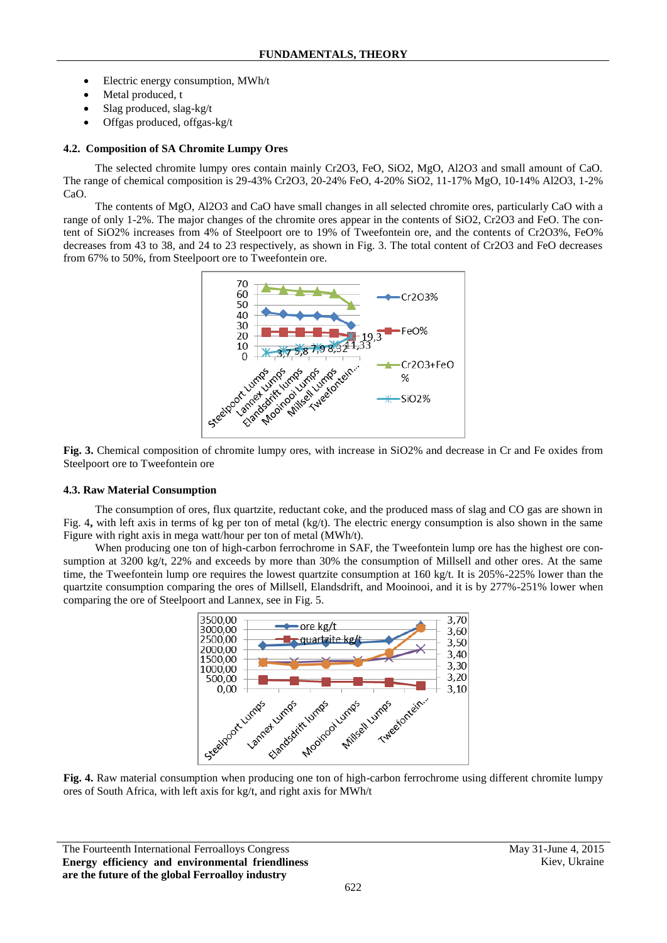- Electric energy consumption, MWh/t
- Metal produced, t
- Slag produced, slag-kg/t
- Offgas produced, offgas-kg/t

#### **4.2. Composition of SA Chromite Lumpy Ores**

The selected chromite lumpy ores contain mainly Cr2O3, FeO, SiO2, MgO, Al2O3 and small amount of CaO. The range of chemical composition is 29-43% Cr2O3, 20-24% FeO, 4-20% SiO2, 11-17% MgO, 10-14% Al2O3, 1-2% CaO.

The contents of MgO, Al2O3 and CaO have small changes in all selected chromite ores, particularly CaO with a range of only 1-2%. The major changes of the chromite ores appear in the contents of SiO2, Cr2O3 and FeO. The content of SiO2% increases from 4% of Steelpoort ore to 19% of Tweefontein ore, and the contents of Cr2O3%, FeO% decreases from 43 to 38, and 24 to 23 respectively, as shown in Fig. 3. The total content of Cr2O3 and FeO decreases from 67% to 50%, from Steelpoort ore to Tweefontein ore.



**Fig. 3.** Chemical composition of chromite lumpy ores, with increase in SiO2% and decrease in Cr and Fe oxides from Steelpoort ore to Tweefontein ore

#### **4.3. Raw Material Consumption**

The consumption of ores, flux quartzite, reductant coke, and the produced mass of slag and CO gas are shown in Fig. 4**,** with left axis in terms of kg per ton of metal (kg/t). The electric energy consumption is also shown in the same Figure with right axis in mega watt/hour per ton of metal (MWh/t).

When producing one ton of high-carbon ferrochrome in SAF, the Tweefontein lump ore has the highest ore consumption at 3200 kg/t, 22% and exceeds by more than 30% the consumption of Millsell and other ores. At the same time, the Tweefontein lump ore requires the lowest quartzite consumption at 160 kg/t. It is 205%-225% lower than the quartzite consumption comparing the ores of Millsell, Elandsdrift, and Mooinooi, and it is by 277%-251% lower when comparing the ore of Steelpoort and Lannex, see in Fig. 5.



ores of South Africa, with left axis for kg/t, and right axis for MWh/t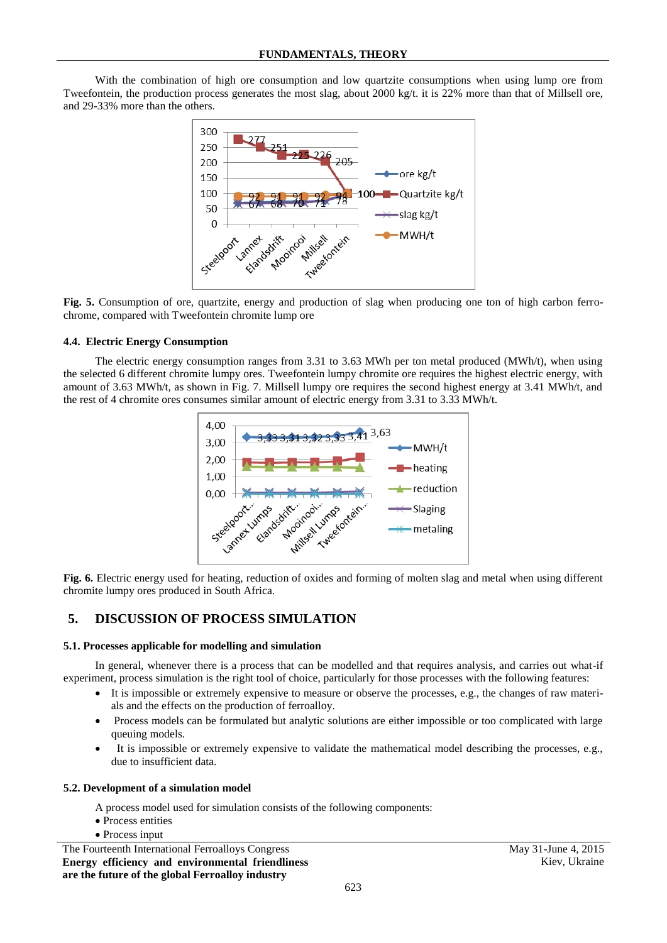With the combination of high ore consumption and low quartzite consumptions when using lump ore from Tweefontein, the production process generates the most slag, about 2000 kg/t, it is 22% more than that of Millsell ore, and 29-33% more than the others.



**Fig. 5.** Consumption of ore, quartzite, energy and production of slag when producing one ton of high carbon ferrochrome, compared with Tweefontein chromite lump ore

#### **4.4. Electric Energy Consumption**

The electric energy consumption ranges from 3.31 to 3.63 MWh per ton metal produced (MWh/t), when using the selected 6 different chromite lumpy ores. Tweefontein lumpy chromite ore requires the highest electric energy, with amount of 3.63 MWh/t, as shown in Fig. 7. Millsell lumpy ore requires the second highest energy at 3.41 MWh/t, and the rest of 4 chromite ores consumes similar amount of electric energy from 3.31 to 3.33 MWh/t.



**Fig. 6.** Electric energy used for heating, reduction of oxides and forming of molten slag and metal when using different chromite lumpy ores produced in South Africa.

# **5. DISCUSSION OF PROCESS SIMULATION**

#### **5.1. Processes applicable for modelling and simulation**

In general, whenever there is a process that can be modelled and that requires analysis, and carries out what-if experiment, process simulation is the right tool of choice, particularly for those processes with the following features:

- It is impossible or extremely expensive to measure or observe the processes, e.g., the changes of raw materials and the effects on the production of ferroalloy.
- Process models can be formulated but analytic solutions are either impossible or too complicated with large queuing models.
- It is impossible or extremely expensive to validate the mathematical model describing the processes, e.g., due to insufficient data.

#### **5.2. Development of a simulation model**

- A process model used for simulation consists of the following components:
- Process entities
	- Process input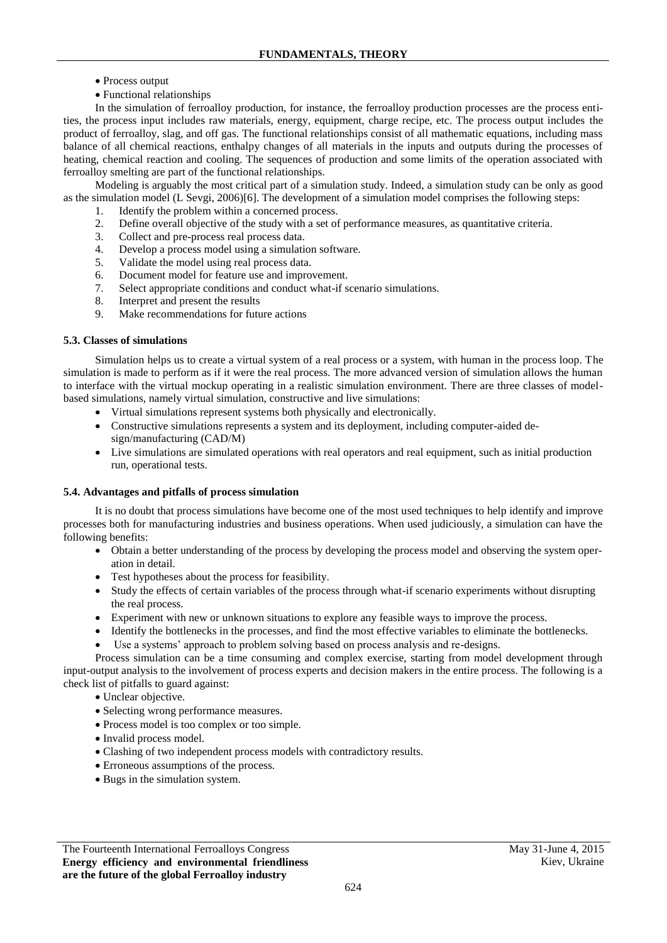### Process output

Functional relationships

In the simulation of ferroalloy production, for instance, the ferroalloy production processes are the process entities, the process input includes raw materials, energy, equipment, charge recipe, etc. The process output includes the product of ferroalloy, slag, and off gas. The functional relationships consist of all mathematic equations, including mass balance of all chemical reactions, enthalpy changes of all materials in the inputs and outputs during the processes of heating, chemical reaction and cooling. The sequences of production and some limits of the operation associated with ferroalloy smelting are part of the functional relationships.

Modeling is arguably the most critical part of a simulation study. Indeed, a simulation study can be only as good as the simulation model (L Sevgi, 2006)[6]. The development of a simulation model comprises the following steps:

- 1. Identify the problem within a concerned process.
- 2. Define overall objective of the study with a set of performance measures, as quantitative criteria.
- 3. Collect and pre-process real process data.
- 4. Develop a process model using a simulation software.
- 5. Validate the model using real process data.
- 6. Document model for feature use and improvement.
- 7. Select appropriate conditions and conduct what-if scenario simulations.
- 8. Interpret and present the results
- 9. Make recommendations for future actions

#### **5.3. Classes of simulations**

Simulation helps us to create a virtual system of a real process or a system, with human in the process loop. The simulation is made to perform as if it were the real process. The more advanced version of simulation allows the human to interface with the virtual mockup operating in a realistic simulation environment. There are three classes of modelbased simulations, namely virtual simulation, constructive and live simulations:

- Virtual simulations represent systems both physically and electronically.
- Constructive simulations represents a system and its deployment, including computer-aided design/manufacturing (CAD/M)
- Live simulations are simulated operations with real operators and real equipment, such as initial production run, operational tests.

#### **5.4. Advantages and pitfalls of process simulation**

It is no doubt that process simulations have become one of the most used techniques to help identify and improve processes both for manufacturing industries and business operations. When used judiciously, a simulation can have the following benefits:

- Obtain a better understanding of the process by developing the process model and observing the system operation in detail.
- Test hypotheses about the process for feasibility.
- Study the effects of certain variables of the process through what-if scenario experiments without disrupting the real process.
- Experiment with new or unknown situations to explore any feasible ways to improve the process.
- Identify the bottlenecks in the processes, and find the most effective variables to eliminate the bottlenecks.
- Use a systems' approach to problem solving based on process analysis and re-designs.

Process simulation can be a time consuming and complex exercise, starting from model development through input-output analysis to the involvement of process experts and decision makers in the entire process. The following is a check list of pitfalls to guard against:

- Unclear objective.
- Selecting wrong performance measures.
- Process model is too complex or too simple.
- Invalid process model.
- Clashing of two independent process models with contradictory results.
- Erroneous assumptions of the process.
- Bugs in the simulation system.